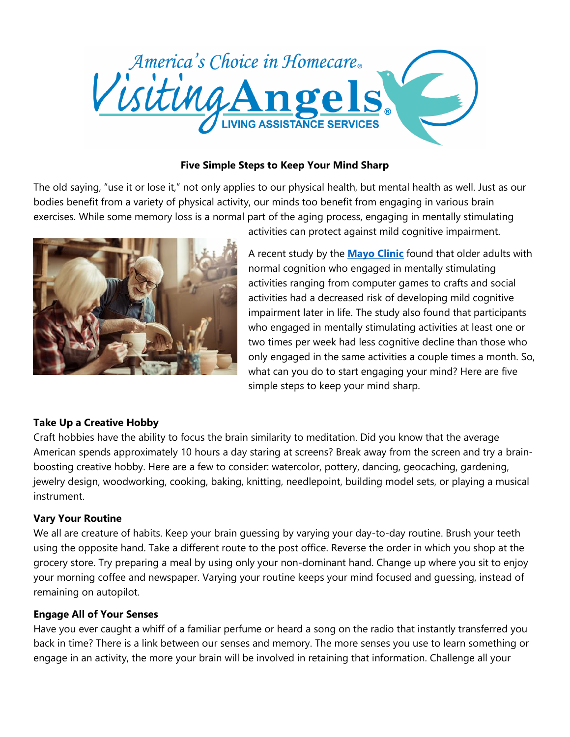

### **Five Simple Steps to Keep Your Mind Sharp**

The old saying, "use it or lose it," not only applies to our physical health, but mental health as well. Just as our bodies benefit from a variety of physical activity, our minds too benefit from engaging in various brain exercises. While some memory loss is a normal part of the aging process, engaging in mentally stimulating



activities can protect against mild cognitive impairment.

A recent study by the **[Mayo](https://www.sciencedaily.com/releases/2017/01/170130133315.htm) Clinic** found that older adults with normal cognition who engaged in mentally stimulating activities ranging from computer games to crafts and social activities had a decreased risk of developing mild cognitive impairment later in life. The study also found that participants who engaged in mentally stimulating activities at least one or two times per week had less cognitive decline than those who only engaged in the same activities a couple times a month. So, what can you do to start engaging your mind? Here are five simple steps to keep your mind sharp.

## **Take Up a Creative Hobby**

Craft hobbies have the ability to focus the brain similarity to meditation. Did you know that the average American spends approximately 10 hours a day staring at screens? Break away from the screen and try a brainboosting creative hobby. Here are a few to consider: watercolor, pottery, dancing, geocaching, gardening, jewelry design, woodworking, cooking, baking, knitting, needlepoint, building model sets, or playing a musical instrument.

## **Vary Your Routine**

We all are creature of habits. Keep your brain guessing by varying your day-to-day routine. Brush your teeth using the opposite hand. Take a different route to the post office. Reverse the order in which you shop at the grocery store. Try preparing a meal by using only your non-dominant hand. Change up where you sit to enjoy your morning coffee and newspaper. Varying your routine keeps your mind focused and guessing, instead of remaining on autopilot.

#### **Engage All of Your Senses**

Have you ever caught a whiff of a familiar perfume or heard a song on the radio that instantly transferred you back in time? There is a link between our senses and memory. The more senses you use to learn something or engage in an activity, the more your brain will be involved in retaining that information. Challenge all your